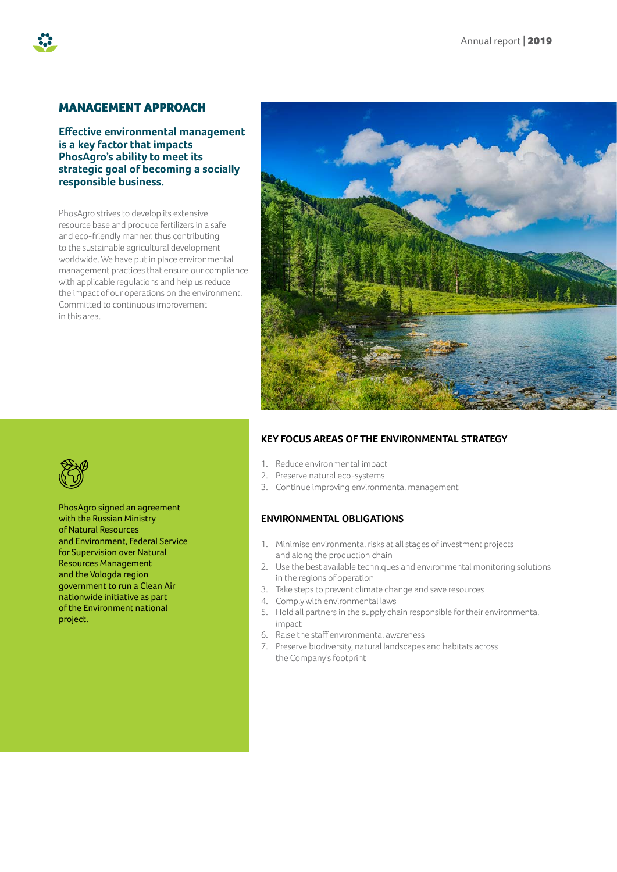## MANAGEMENT APPROACH

**Effective environmental management is a key factor that impacts PhosAgro's ability to meet its strategic goal of becoming a socially responsible business.** 

PhosAgro strives to develop its extensive resource base and produce fertilizers in a safe and eco-friendly manner, thus contributing to the sustainable agricultural development worldwide. We have put in place environmental management practices that ensure our compliance with applicable regulations and help us reduce the impact of our operations on the environment. Committed to continuous improvement in this area.



### **KEY FOCUS AREAS OF THE ENVIRONMENTAL STRATEGY**

- 1. Reduce environmental impact
- 2. Preserve natural eco-systems
- 3. Continue improving environmental management

## **ENVIRONMENTAL OBLIGATIONS**

- 1. Minimise environmental risks at all stages of investment projects and along the production chain
- 2. Use the best available techniques and environmental monitoring solutions in the regions of operation
- 3. Take steps to prevent climate change and save resources
- 4. Comply with environmental laws
- 5. Hold all partners in the supply chain responsible for their environmental impact
- 6. Raise the staff environmental awareness
- 7. Preserve biodiversity, natural landscapes and habitats across the Company's footprint



PhosAgro signed an agreement with the Russian Ministry of Natural Resources and Environment, Federal Service for Supervision over Natural Resources Management and the Vologda region government to run a Clean Air nationwide initiative as part of the Environment national project.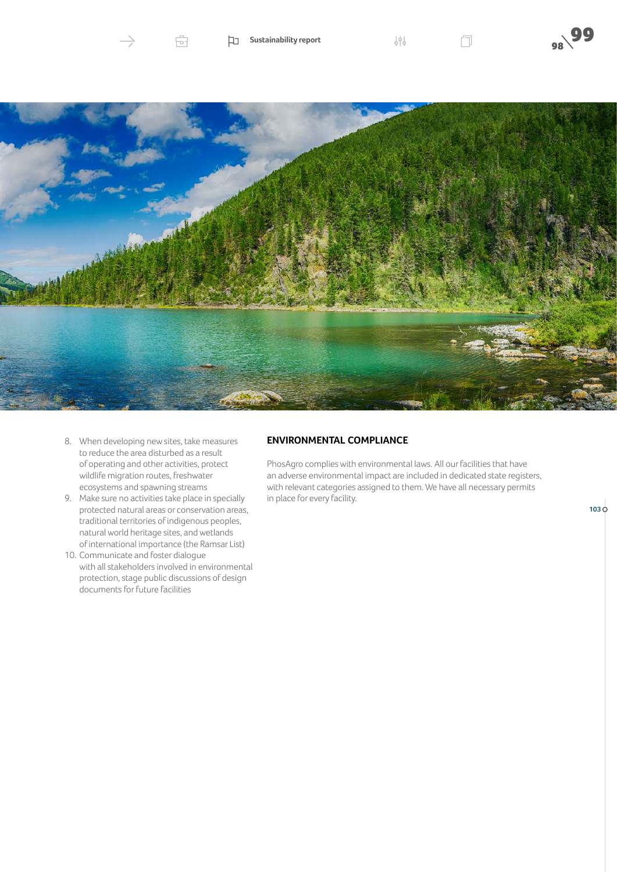

8. When developing new sites, take measures to reduce the area disturbed as a result of operating and other activities, protect wildlife migration routes, freshwater ecosystems and spawning streams

虛

- 9. Make sure no activities take place in specially protected natural areas or conservation areas, traditional territories of indigenous peoples, natural world heritage sites, and wetlands of international importance (the Ramsar List)
- 10. Communicate and foster dialogue with all stakeholders involved in environmental protection, stage public discussions of design documents for future facilities

## **ENVIRONMENTAL COMPLIANCE**

PhosAgro complies with environmental laws. All our facilities that have an adverse environmental impact are included in dedicated state registers, with relevant categories assigned to them. We have all necessary permits in place for every facility.

**99 The Sustainability report**  $\bigcup_{\substack{\phi\in\mathbb{R}^+ \ \phi(\phi) \ \phi(\phi)}}$ 

**103**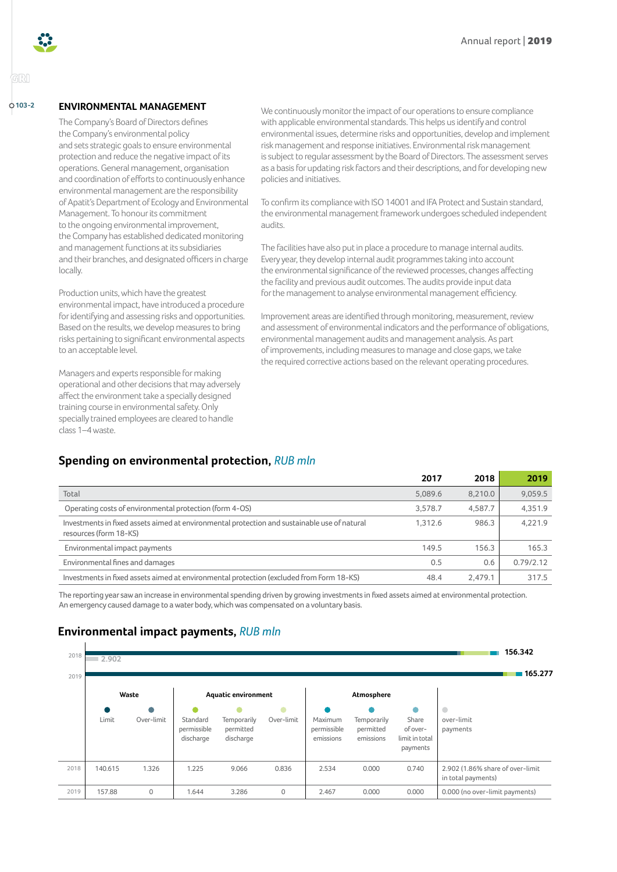

GRI

## **ENVIRONMENTAL MANAGEMENT**

The Company's Board of Directors defines the Company's environmental policy and sets strategic goals to ensure environmental protection and reduce the negative impact of its operations. General management, organisation and coordination of efforts to continuously enhance environmental management are the responsibility of Apatit's Department of Ecology and Environmental Management. To honour its commitment to the ongoing environmental improvement, the Company has established dedicated monitoring and management functions at its subsidiaries and their branches, and designated officers in charge locally.

Production units, which have the greatest environmental impact, have introduced a procedure for identifying and assessing risks and opportunities. Based on the results, we develop measures to bring risks pertaining to significant environmental aspects to an acceptable level.

Managers and experts responsible for making operational and other decisions that may adversely affect the environment take a specially designed training course in environmental safety. Only specially trained employees are cleared to handle class 1–4 waste.

**103-2 ENVIRONMENTAL MANAGEMENT** We continuously monitor the impact of our operations to ensure compliance with applicable environmental standards. This helps us identify and control environmental issues, determine risks and opportunities, develop and implement risk management and response initiatives. Environmental risk management is subject to regular assessment by the Board of Directors. The assessment serves as a basis for updating risk factors and their descriptions, and for developing new policies and initiatives.

> To confirm its compliance with ISO 14001 and IFA Protect and Sustain standard, the environmental management framework undergoes scheduled independent audits.

The facilities have also put in place a procedure to manage internal audits. Every year, they develop internal audit programmes taking into account the environmental significance of the reviewed processes, changes affecting the facility and previous audit outcomes. The audits provide input data for the management to analyse environmental management efficiency.

Improvement areas are identified through monitoring, measurement, review and assessment of environmental indicators and the performance of obligations, environmental management audits and management analysis. As part of improvements, including measures to manage and close gaps, we take the required corrective actions based on the relevant operating procedures.

# **Spending on environmental protection,** *RUB mln*

|                                                                                                                        | 2017    | 2018    | 2019      |
|------------------------------------------------------------------------------------------------------------------------|---------|---------|-----------|
| Total                                                                                                                  | 5,089.6 | 8.210.0 | 9,059.5   |
| Operating costs of environmental protection (form 4-OS)                                                                | 3.578.7 | 4,587.7 | 4.351.9   |
| Investments in fixed assets aimed at environmental protection and sustainable use of natural<br>resources (form 18-KS) | 1.312.6 | 986.3   | 4,221.9   |
| Environmental impact payments                                                                                          | 149.5   | 156.3   | 165.3     |
| Environmental fines and damages                                                                                        | 0.5     | 0.6     | 0.79/2.12 |
| Investments in fixed assets aimed at environmental protection (excluded from Form 18-KS)                               | 48.4    | 2.479.1 | 317.5     |

The reporting year saw an increase in environmental spending driven by growing investments in fixed assets aimed at environmental protection. An emergency caused damage to a water body, which was compensated on a voluntary basis.

# **Environmental impact payments,** *RUB mln*

| 2018 | 2.902   | 156.342    |                                      |                                       |            |                                     |                                       |                                                      |                                                        |
|------|---------|------------|--------------------------------------|---------------------------------------|------------|-------------------------------------|---------------------------------------|------------------------------------------------------|--------------------------------------------------------|
| 2019 |         |            |                                      |                                       |            |                                     |                                       |                                                      | 165.277                                                |
|      |         | Waste      | <b>Aquatic environment</b>           |                                       |            | Atmosphere                          |                                       |                                                      |                                                        |
|      | Limit   | Over-limit | Standard<br>permissible<br>discharge | Temporarily<br>permitted<br>discharge | Over-limit | Maximum<br>permissible<br>emissions | Temporarily<br>permitted<br>emissions | ۸<br>Share<br>of over-<br>limit in total<br>payments | $\bullet$<br>over-limit<br>payments                    |
| 2018 | 140.615 | 1.326      | 1.225                                | 9.066                                 | 0.836      | 2.534                               | 0.000                                 | 0.740                                                | 2.902 (1.86% share of over-limit<br>in total payments) |
| 2019 | 157.88  | $\circ$    | 1.644                                | 3.286                                 | 0          | 2.467                               | 0.000                                 | 0.000                                                | 0.000 (no over-limit payments)                         |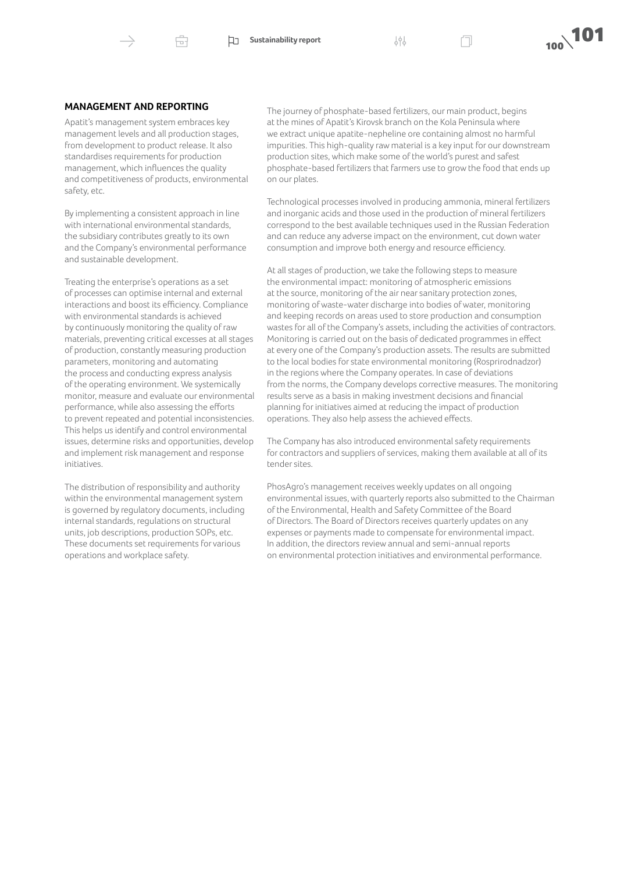Ġ.



#### **MANAGEMENT AND REPORTING**

Apatit's management system embraces key management levels and all production stages, from development to product release. It also standardises requirements for production management, which influences the quality and competitiveness of products, environmental safety, etc.

By implementing a consistent approach in line with international environmental standards, the subsidiary contributes greatly to its own and the Company's environmental performance and sustainable development.

Treating the enterprise's operations as a set of processes can optimise internal and external interactions and boost its efficiency. Compliance with environmental standards is achieved by continuously monitoring the quality of raw materials, preventing critical excesses at all stages of production, constantly measuring production parameters, monitoring and automating the process and conducting express analysis of the operating environment. We systemically monitor, measure and evaluate our environmental performance, while also assessing the efforts to prevent repeated and potential inconsistencies. This helps us identify and control environmental issues, determine risks and opportunities, develop and implement risk management and response initiatives.

The distribution of responsibility and authority within the environmental management system is governed by regulatory documents, including internal standards, regulations on structural units, job descriptions, production SOPs, etc. These documents set requirements for various operations and workplace safety.

The journey of phosphate-based fertilizers, our main product, begins at the mines of Apatit's Kirovsk branch on the Kola Peninsula where we extract unique apatite-nepheline ore containing almost no harmful impurities. This high-quality raw material is a key input for our downstream production sites, which make some of the world's purest and safest phosphate-based fertilizers that farmers use to grow the food that ends up on our plates.

Technological processes involved in producing ammonia, mineral fertilizers and inorganic acids and those used in the production of mineral fertilizers correspond to the best available techniques used in the Russian Federation and can reduce any adverse impact on the environment, cut down water consumption and improve both energy and resource efficiency.

At all stages of production, we take the following steps to measure the environmental impact: monitoring of atmospheric emissions at the source, monitoring of the air near sanitary protection zones, monitoring of waste-water discharge into bodies of water, monitoring and keeping records on areas used to store production and consumption wastes for all of the Company's assets, including the activities of contractors. Monitoring is carried out on the basis of dedicated programmes in effect at every one of the Company's production assets. The results are submitted to the local bodies for state environmental monitoring (Rosprirodnadzor) in the regions where the Company operates. In case of deviations from the norms, the Company develops corrective measures. The monitoring results serve as a basis in making investment decisions and financial planning for initiatives aimed at reducing the impact of production operations. They also help assess the achieved effects.

The Company has also introduced environmental safety requirements for contractors and suppliers of services, making them available at all of its tender sites.

PhosAgro's management receives weekly updates on all ongoing environmental issues, with quarterly reports also submitted to the Chairman of the Environmental, Health and Safety Committee of the Board of Directors. The Board of Directors receives quarterly updates on any expenses or payments made to compensate for environmental impact. In addition, the directors review annual and semi-annual reports on environmental protection initiatives and environmental performance.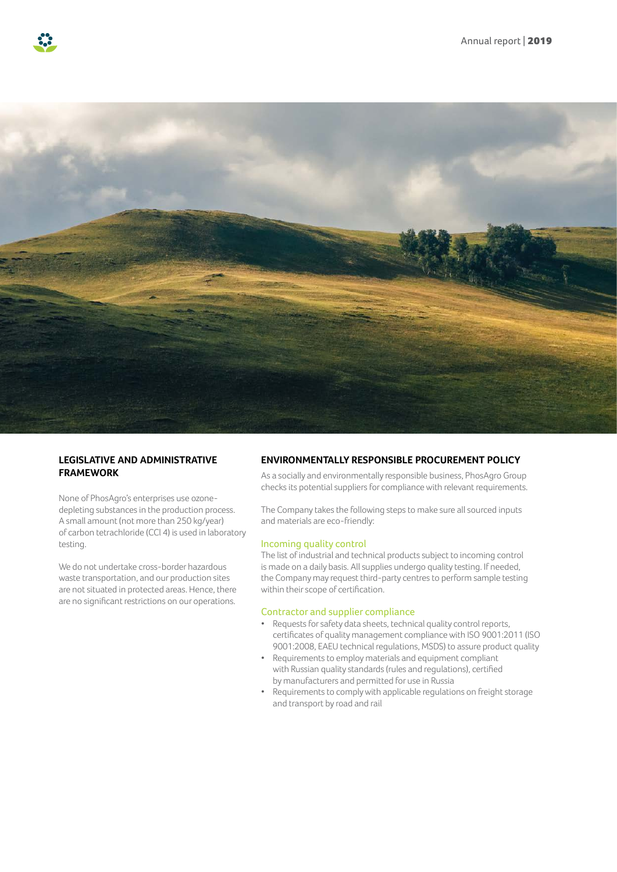



### **LEGISLATIVE AND ADMINISTRATIVE FRAMEWORK**

None of PhosAgro's enterprises use ozonedepleting substances in the production process. A small amount (not more than 250 kg/year) of carbon tetrachloride (CCl 4) is used in laboratory testing.

We do not undertake cross-border hazardous waste transportation, and our production sites are not situated in protected areas. Hence, there are no significant restrictions on our operations.

#### **ENVIRONMENTALLY RESPONSIBLE PROCUREMENT POLICY**

As a socially and environmentally responsible business, PhosAgro Group checks its potential suppliers for compliance with relevant requirements.

The Company takes the following steps to make sure all sourced inputs and materials are eco-friendly:

#### Incoming quality control

The list of industrial and technical products subject to incoming control is made on a daily basis. All supplies undergo quality testing. If needed, the Company may request third-party centres to perform sample testing within their scope of certification.

#### Contractor and supplier compliance

- Requests for safety data sheets, technical quality control reports, certificates of quality management compliance with ISO 9001:2011 (ISO 9001:2008, EAEU technical regulations, MSDS) to assure product quality
- Requirements to employ materials and equipment compliant with Russian quality standards (rules and regulations), certified by manufacturers and permitted for use in Russia
- Requirements to comply with applicable regulations on freight storage and transport by road and rail